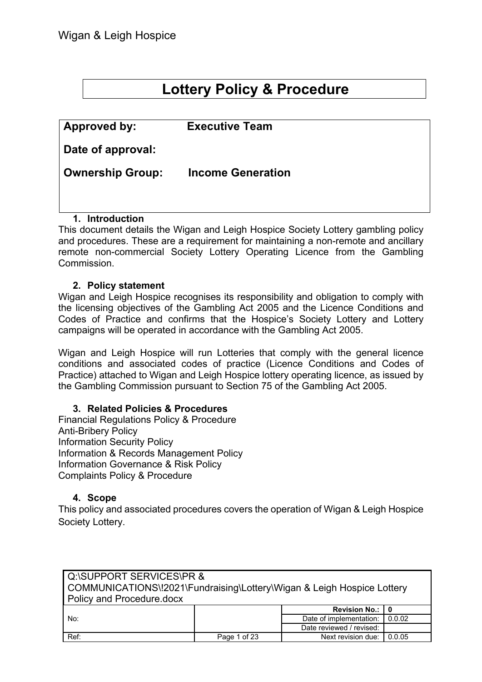# **Lottery Policy & Procedure**

| <b>Approved by:</b>     | <b>Executive Team</b>    |
|-------------------------|--------------------------|
| Date of approval:       |                          |
| <b>Ownership Group:</b> | <b>Income Generation</b> |
|                         |                          |

#### **1. Introduction**

This document details the Wigan and Leigh Hospice Society Lottery gambling policy and procedures. These are a requirement for maintaining a non-remote and ancillary remote non-commercial Society Lottery Operating Licence from the Gambling Commission.

#### **2. Policy statement**

Wigan and Leigh Hospice recognises its responsibility and obligation to comply with the licensing objectives of the Gambling Act 2005 and the Licence Conditions and Codes of Practice and confirms that the Hospice's Society Lottery and Lottery campaigns will be operated in accordance with the Gambling Act 2005.

Wigan and Leigh Hospice will run Lotteries that comply with the general licence conditions and associated codes of practice (Licence Conditions and Codes of Practice) attached to Wigan and Leigh Hospice lottery operating licence, as issued by the Gambling Commission pursuant to Section 75 of the Gambling Act 2005.

#### **3. Related Policies & Procedures**

Financial Regulations Policy & Procedure Anti-Bribery Policy Information Security Policy Information & Records Management Policy Information Governance & Risk Policy Complaints Policy & Procedure

#### **4. Scope**

This policy and associated procedures covers the operation of Wigan & Leigh Hospice Society Lottery.

| Q:\SUPPORT SERVICES\PR &                                               |              |                          |        |  |
|------------------------------------------------------------------------|--------------|--------------------------|--------|--|
| COMMUNICATIONS\!2021\Fundraising\Lottery\Wigan & Leigh Hospice Lottery |              |                          |        |  |
| <b>Policy and Procedure docx</b>                                       |              |                          |        |  |
|                                                                        |              | <b>Revision No.:</b>     |        |  |
| No:                                                                    |              | Date of implementation:  | 0.0.02 |  |
|                                                                        |              | Date reviewed / revised: |        |  |
| Ref:                                                                   | Page 1 of 23 | Next revision due:       | 0.0.05 |  |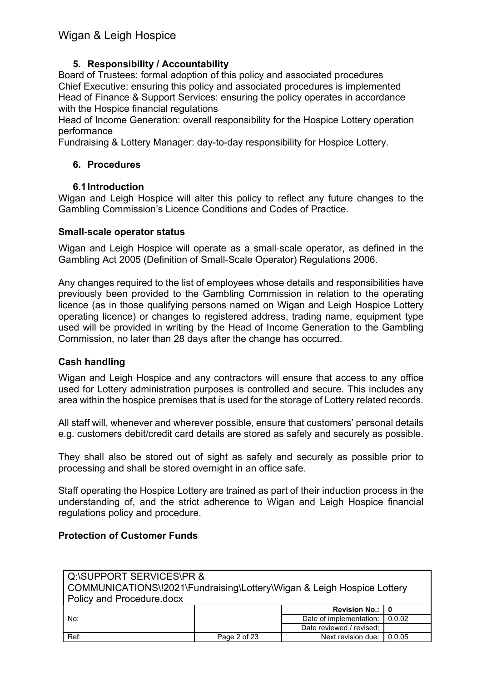#### **5. Responsibility / Accountability**

Board of Trustees: formal adoption of this policy and associated procedures Chief Executive: ensuring this policy and associated procedures is implemented Head of Finance & Support Services: ensuring the policy operates in accordance with the Hospice financial regulations

Head of Income Generation: overall responsibility for the Hospice Lottery operation performance

Fundraising & Lottery Manager: day-to-day responsibility for Hospice Lottery.

#### **6. Procedures**

#### **6.1Introduction**

Wigan and Leigh Hospice will alter this policy to reflect any future changes to the Gambling Commission's Licence Conditions and Codes of Practice.

#### **Small**‐**scale operator status**

Wigan and Leigh Hospice will operate as a small‐scale operator, as defined in the Gambling Act 2005 (Definition of Small‐Scale Operator) Regulations 2006.

Any changes required to the list of employees whose details and responsibilities have previously been provided to the Gambling Commission in relation to the operating licence (as in those qualifying persons named on Wigan and Leigh Hospice Lottery operating licence) or changes to registered address, trading name, equipment type used will be provided in writing by the Head of Income Generation to the Gambling Commission, no later than 28 days after the change has occurred.

#### **Cash handling**

Wigan and Leigh Hospice and any contractors will ensure that access to any office used for Lottery administration purposes is controlled and secure. This includes any area within the hospice premises that is used for the storage of Lottery related records.

All staff will, whenever and wherever possible, ensure that customers' personal details e.g. customers debit/credit card details are stored as safely and securely as possible.

They shall also be stored out of sight as safely and securely as possible prior to processing and shall be stored overnight in an office safe.

Staff operating the Hospice Lottery are trained as part of their induction process in the understanding of, and the strict adherence to Wigan and Leigh Hospice financial regulations policy and procedure.

#### **Protection of Customer Funds**

| Q:\SUPPORT SERVICES\PR &                                               |                         |                          |        |  |
|------------------------------------------------------------------------|-------------------------|--------------------------|--------|--|
| COMMUNICATIONS\!2021\Fundraising\Lottery\Wigan & Leigh Hospice Lottery |                         |                          |        |  |
| Policy and Procedure.docx                                              |                         |                          |        |  |
|                                                                        |                         | Revision No.:   0        |        |  |
| No:                                                                    | Date of implementation: | 0.0.02                   |        |  |
|                                                                        |                         | Date reviewed / revised: |        |  |
| Ref:                                                                   | Page 2 of 23            | Next revision due:       | 0.0.05 |  |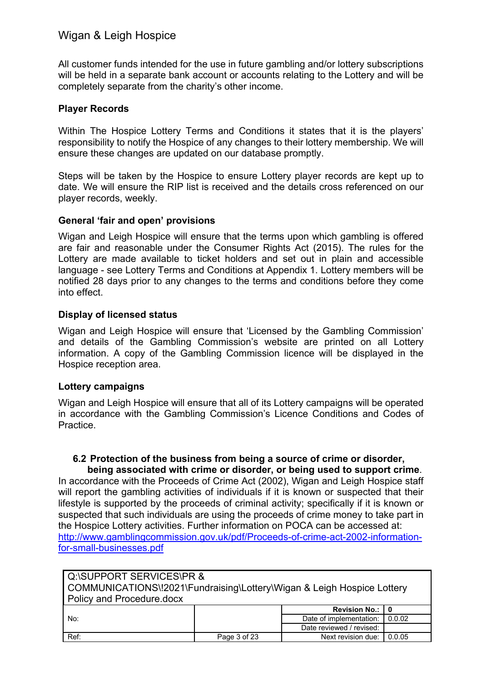All customer funds intended for the use in future gambling and/or lottery subscriptions will be held in a separate bank account or accounts relating to the Lottery and will be completely separate from the charity's other income.

#### **Player Records**

Within The Hospice Lottery Terms and Conditions it states that it is the players' responsibility to notify the Hospice of any changes to their lottery membership. We will ensure these changes are updated on our database promptly.

Steps will be taken by the Hospice to ensure Lottery player records are kept up to date. We will ensure the RIP list is received and the details cross referenced on our player records, weekly.

#### **General 'fair and open' provisions**

Wigan and Leigh Hospice will ensure that the terms upon which gambling is offered are fair and reasonable under the Consumer Rights Act (2015). The rules for the Lottery are made available to ticket holders and set out in plain and accessible language - see Lottery Terms and Conditions at Appendix 1. Lottery members will be notified 28 days prior to any changes to the terms and conditions before they come into effect.

#### **Display of licensed status**

Wigan and Leigh Hospice will ensure that 'Licensed by the Gambling Commission' and details of the Gambling Commission's website are printed on all Lottery information. A copy of the Gambling Commission licence will be displayed in the Hospice reception area.

#### **Lottery campaigns**

Wigan and Leigh Hospice will ensure that all of its Lottery campaigns will be operated in accordance with the Gambling Commission's Licence Conditions and Codes of Practice.

#### **6.2 Protection of the business from being a source of crime or disorder, being associated with crime or disorder, or being used to support crime**.

In accordance with the Proceeds of Crime Act (2002), Wigan and Leigh Hospice staff will report the gambling activities of individuals if it is known or suspected that their lifestyle is supported by the proceeds of criminal activity; specifically if it is known or suspected that such individuals are using the proceeds of crime money to take part in the Hospice Lottery activities. Further information on POCA can be accessed at: [http://www.gamblingcommission.gov.uk/pdf/Proceeds-of-crime-act-2002-information](http://www.gamblingcommission.gov.uk/pdf/Proceeds-of-crime-act-2002-information-for-small-businesses.pdf)[for-small-businesses.pdf](http://www.gamblingcommission.gov.uk/pdf/Proceeds-of-crime-act-2002-information-for-small-businesses.pdf)

| <b>I</b> Q:\SUPPORT SERVICES\PR &<br>COMMUNICATIONS\!2021\Fundraising\Lottery\Wigan & Leigh Hospice Lottery<br>Policy and Procedure.docx |              |                          |        |
|------------------------------------------------------------------------------------------------------------------------------------------|--------------|--------------------------|--------|
|                                                                                                                                          |              | Revision No.:   0        |        |
| No:                                                                                                                                      |              | Date of implementation:  | 0.0.02 |
|                                                                                                                                          |              | Date reviewed / revised: |        |
| Ref:                                                                                                                                     | Page 3 of 23 | Next revision due:       | 0.0.05 |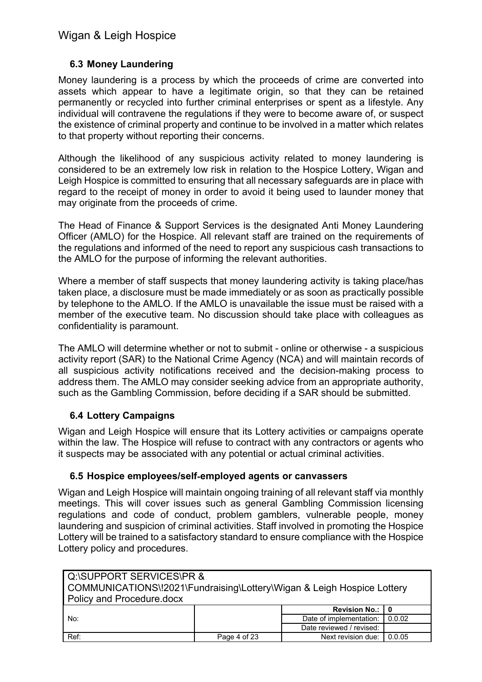#### **6.3 Money Laundering**

Money laundering is a process by which the proceeds of crime are converted into assets which appear to have a legitimate origin, so that they can be retained permanently or recycled into further criminal enterprises or spent as a lifestyle. Any individual will contravene the regulations if they were to become aware of, or suspect the existence of criminal property and continue to be involved in a matter which relates to that property without reporting their concerns.

Although the likelihood of any suspicious activity related to money laundering is considered to be an extremely low risk in relation to the Hospice Lottery, Wigan and Leigh Hospice is committed to ensuring that all necessary safeguards are in place with regard to the receipt of money in order to avoid it being used to launder money that may originate from the proceeds of crime.

The Head of Finance & Support Services is the designated Anti Money Laundering Officer (AMLO) for the Hospice. All relevant staff are trained on the requirements of the regulations and informed of the need to report any suspicious cash transactions to the AMLO for the purpose of informing the relevant authorities.

Where a member of staff suspects that money laundering activity is taking place/has taken place, a disclosure must be made immediately or as soon as practically possible by telephone to the AMLO. If the AMLO is unavailable the issue must be raised with a member of the executive team. No discussion should take place with colleagues as confidentiality is paramount.

The AMLO will determine whether or not to submit - online or otherwise - a suspicious activity report (SAR) to the National Crime Agency (NCA) and will maintain records of all suspicious activity notifications received and the decision-making process to address them. The AMLO may consider seeking advice from an appropriate authority, such as the Gambling Commission, before deciding if a SAR should be submitted.

#### **6.4 Lottery Campaigns**

Wigan and Leigh Hospice will ensure that its Lottery activities or campaigns operate within the law. The Hospice will refuse to contract with any contractors or agents who it suspects may be associated with any potential or actual criminal activities.

#### **6.5 Hospice employees/self**‐**employed agents or canvassers**

Wigan and Leigh Hospice will maintain ongoing training of all relevant staff via monthly meetings. This will cover issues such as general Gambling Commission licensing regulations and code of conduct, problem gamblers, vulnerable people, money laundering and suspicion of criminal activities. Staff involved in promoting the Hospice Lottery will be trained to a satisfactory standard to ensure compliance with the Hospice Lottery policy and procedures.

| Q:\SUPPORT SERVICES\PR &                                               |              |                           |        |
|------------------------------------------------------------------------|--------------|---------------------------|--------|
| COMMUNICATIONS\!2021\Fundraising\Lottery\Wigan & Leigh Hospice Lottery |              |                           |        |
| <b>Policy and Procedure docx</b>                                       |              |                           |        |
|                                                                        |              | Revision No.:   0         |        |
| No:                                                                    |              | Date of implementation: I | 0.0.02 |
|                                                                        |              | Date reviewed / revised:  |        |
| Ref:                                                                   | Page 4 of 23 | Next revision due:        | 0.0.05 |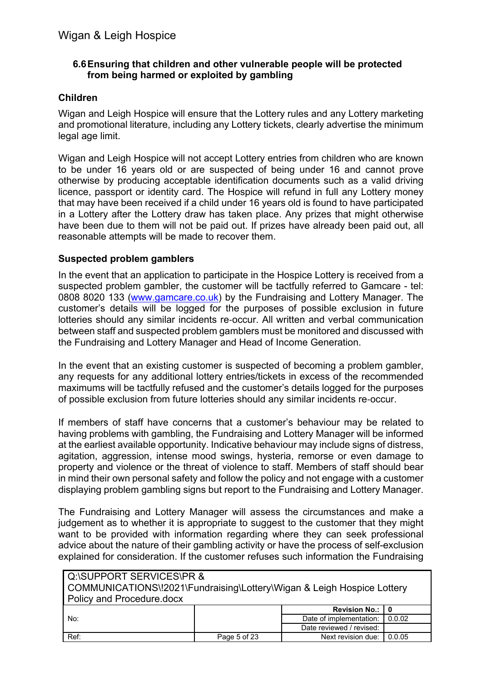#### **6.6Ensuring that children and other vulnerable people will be protected from being harmed or exploited by gambling**

#### **Children**

Wigan and Leigh Hospice will ensure that the Lottery rules and any Lottery marketing and promotional literature, including any Lottery tickets, clearly advertise the minimum legal age limit.

Wigan and Leigh Hospice will not accept Lottery entries from children who are known to be under 16 years old or are suspected of being under 16 and cannot prove otherwise by producing acceptable identification documents such as a valid driving licence, passport or identity card. The Hospice will refund in full any Lottery money that may have been received if a child under 16 years old is found to have participated in a Lottery after the Lottery draw has taken place. Any prizes that might otherwise have been due to them will not be paid out. If prizes have already been paid out, all reasonable attempts will be made to recover them.

#### **Suspected problem gamblers**

In the event that an application to participate in the Hospice Lottery is received from a suspected problem gambler, the customer will be tactfully referred to Gamcare - tel: 0808 8020 133 [\(www.gamcare.co.uk\)](http://www.gamcare.co.uk/) by the Fundraising and Lottery Manager. The customer's details will be logged for the purposes of possible exclusion in future lotteries should any similar incidents re‐occur. All written and verbal communication between staff and suspected problem gamblers must be monitored and discussed with the Fundraising and Lottery Manager and Head of Income Generation.

In the event that an existing customer is suspected of becoming a problem gambler, any requests for any additional lottery entries/tickets in excess of the recommended maximums will be tactfully refused and the customer's details logged for the purposes of possible exclusion from future lotteries should any similar incidents re‐occur.

If members of staff have concerns that a customer's behaviour may be related to having problems with gambling, the Fundraising and Lottery Manager will be informed at the earliest available opportunity. Indicative behaviour may include signs of distress, agitation, aggression, intense mood swings, hysteria, remorse or even damage to property and violence or the threat of violence to staff. Members of staff should bear in mind their own personal safety and follow the policy and not engage with a customer displaying problem gambling signs but report to the Fundraising and Lottery Manager.

The Fundraising and Lottery Manager will assess the circumstances and make a judgement as to whether it is appropriate to suggest to the customer that they might want to be provided with information regarding where they can seek professional advice about the nature of their gambling activity or have the process of self-exclusion explained for consideration. If the customer refuses such information the Fundraising

| Q:\SUPPORT SERVICES\PR &                                               |              |                          |        |  |
|------------------------------------------------------------------------|--------------|--------------------------|--------|--|
| COMMUNICATIONS\!2021\Fundraising\Lottery\Wigan & Leigh Hospice Lottery |              |                          |        |  |
| <b>Policy and Procedure docx</b>                                       |              |                          |        |  |
|                                                                        |              | Revision No.:   0        |        |  |
| No:                                                                    |              | Date of implementation:  | 0.0.02 |  |
|                                                                        |              | Date reviewed / revised: |        |  |
| Ref:                                                                   | Page 5 of 23 | Next revision due:       | 0.0.05 |  |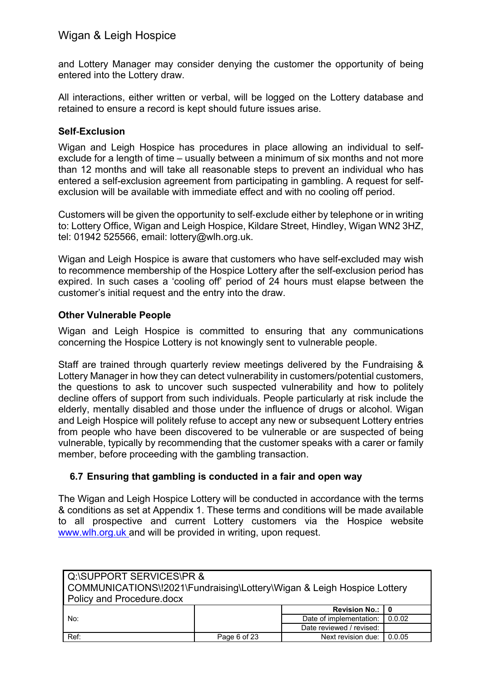and Lottery Manager may consider denying the customer the opportunity of being entered into the Lottery draw.

All interactions, either written or verbal, will be logged on the Lottery database and retained to ensure a record is kept should future issues arise.

#### **Self**‐**Exclusion**

Wigan and Leigh Hospice has procedures in place allowing an individual to selfexclude for a length of time – usually between a minimum of six months and not more than 12 months and will take all reasonable steps to prevent an individual who has entered a self-exclusion agreement from participating in gambling. A request for selfexclusion will be available with immediate effect and with no cooling off period.

Customers will be given the opportunity to self‐exclude either by telephone or in writing to: Lottery Office, Wigan and Leigh Hospice, Kildare Street, Hindley, Wigan WN2 3HZ, tel: 01942 525566, email: lottery@wlh.org.uk.

Wigan and Leigh Hospice is aware that customers who have self-excluded may wish to recommence membership of the Hospice Lottery after the self-exclusion period has expired. In such cases a 'cooling off' period of 24 hours must elapse between the customer's initial request and the entry into the draw.

#### **Other Vulnerable People**

Wigan and Leigh Hospice is committed to ensuring that any communications concerning the Hospice Lottery is not knowingly sent to vulnerable people.

Staff are trained through quarterly review meetings delivered by the Fundraising & Lottery Manager in how they can detect vulnerability in customers/potential customers, the questions to ask to uncover such suspected vulnerability and how to politely decline offers of support from such individuals. People particularly at risk include the elderly, mentally disabled and those under the influence of drugs or alcohol. Wigan and Leigh Hospice will politely refuse to accept any new or subsequent Lottery entries from people who have been discovered to be vulnerable or are suspected of being vulnerable, typically by recommending that the customer speaks with a carer or family member, before proceeding with the gambling transaction.

#### **6.7 Ensuring that gambling is conducted in a fair and open way**

The Wigan and Leigh Hospice Lottery will be conducted in accordance with the terms & conditions as set at Appendix 1. These terms and conditions will be made available to all prospective and current Lottery customers via the Hospice website [www.wlh.org.uk](http://www.wlh.org.uk/) and will be provided in writing, upon request.

| Q:\SUPPORT SERVICES\PR &                                               |              |                          |        |
|------------------------------------------------------------------------|--------------|--------------------------|--------|
| COMMUNICATIONS\!2021\Fundraising\Lottery\Wigan & Leigh Hospice Lottery |              |                          |        |
| <b>Policy and Procedure docx</b>                                       |              |                          |        |
|                                                                        |              | <b>Revision No.: I</b>   | 0      |
| No:                                                                    |              | Date of implementation:  | 0.0.02 |
|                                                                        |              | Date reviewed / revised: |        |
| Ref:                                                                   | Page 6 of 23 | Next revision due:       | 0.0.05 |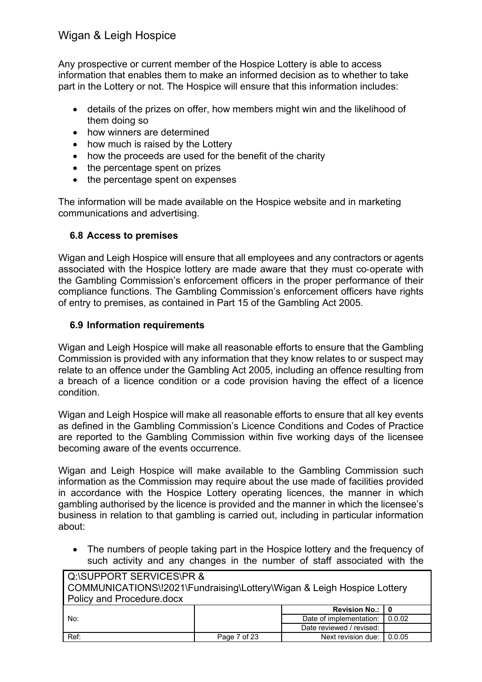Any prospective or current member of the Hospice Lottery is able to access information that enables them to make an informed decision as to whether to take part in the Lottery or not. The Hospice will ensure that this information includes:

- details of the prizes on offer, how members might win and the likelihood of them doing so
- how winners are determined
- how much is raised by the Lottery
- how the proceeds are used for the benefit of the charity
- the percentage spent on prizes
- the percentage spent on expenses

The information will be made available on the Hospice website and in marketing communications and advertising.

#### **6.8 Access to premises**

Wigan and Leigh Hospice will ensure that all employees and any contractors or agents associated with the Hospice lottery are made aware that they must co-operate with the Gambling Commission's enforcement officers in the proper performance of their compliance functions. The Gambling Commission's enforcement officers have rights of entry to premises, as contained in Part 15 of the Gambling Act 2005.

#### **6.9 Information requirements**

Wigan and Leigh Hospice will make all reasonable efforts to ensure that the Gambling Commission is provided with any information that they know relates to or suspect may relate to an offence under the Gambling Act 2005, including an offence resulting from a breach of a licence condition or a code provision having the effect of a licence condition.

Wigan and Leigh Hospice will make all reasonable efforts to ensure that all key events as defined in the Gambling Commission's Licence Conditions and Codes of Practice are reported to the Gambling Commission within five working days of the licensee becoming aware of the events occurrence.

Wigan and Leigh Hospice will make available to the Gambling Commission such information as the Commission may require about the use made of facilities provided in accordance with the Hospice Lottery operating licences, the manner in which gambling authorised by the licence is provided and the manner in which the licensee's business in relation to that gambling is carried out, including in particular information about:

• The numbers of people taking part in the Hospice lottery and the frequency of such activity and any changes in the number of staff associated with the

| Q:\SUPPORT SERVICES\PR &<br>COMMUNICATIONS\!2021\Fundraising\Lottery\Wigan & Leigh Hospice Lottery<br>Policy and Procedure.docx |              |                          |        |
|---------------------------------------------------------------------------------------------------------------------------------|--------------|--------------------------|--------|
|                                                                                                                                 |              | <b>Revision No.:  </b>   | 0      |
| No:                                                                                                                             |              | Date of implementation:  | 0.0.02 |
|                                                                                                                                 |              | Date reviewed / revised: |        |
| Ref:                                                                                                                            | Page 7 of 23 | Next revision due:       | 0.0.05 |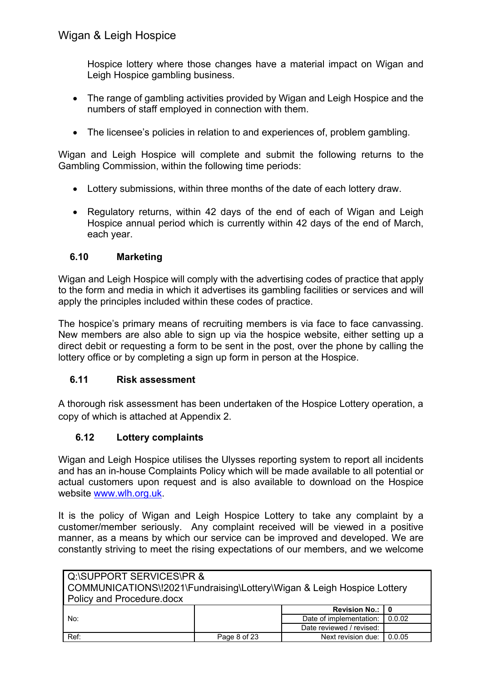Hospice lottery where those changes have a material impact on Wigan and Leigh Hospice gambling business.

- The range of gambling activities provided by Wigan and Leigh Hospice and the numbers of staff employed in connection with them.
- The licensee's policies in relation to and experiences of, problem gambling.

Wigan and Leigh Hospice will complete and submit the following returns to the Gambling Commission, within the following time periods:

- Lottery submissions, within three months of the date of each lottery draw.
- Regulatory returns, within 42 days of the end of each of Wigan and Leigh Hospice annual period which is currently within 42 days of the end of March, each year.

#### **6.10 Marketing**

Wigan and Leigh Hospice will comply with the advertising codes of practice that apply to the form and media in which it advertises its gambling facilities or services and will apply the principles included within these codes of practice.

The hospice's primary means of recruiting members is via face to face canvassing. New members are also able to sign up via the hospice website, either setting up a direct debit or requesting a form to be sent in the post, over the phone by calling the lottery office or by completing a sign up form in person at the Hospice.

#### **6.11 Risk assessment**

A thorough risk assessment has been undertaken of the Hospice Lottery operation, a copy of which is attached at Appendix 2.

#### **6.12 Lottery complaints**

Wigan and Leigh Hospice utilises the Ulysses reporting system to report all incidents and has an in-house Complaints Policy which will be made available to all potential or actual customers upon request and is also available to download on the Hospice website [www.wlh.org.uk.](http://www.wlh.org.uk/)

It is the policy of Wigan and Leigh Hospice Lottery to take any complaint by a customer/member seriously. Any complaint received will be viewed in a positive manner, as a means by which our service can be improved and developed. We are constantly striving to meet the rising expectations of our members, and we welcome

| Q:\SUPPORT SERVICES\PR &                                               |              |                          |        |
|------------------------------------------------------------------------|--------------|--------------------------|--------|
| COMMUNICATIONS\!2021\Fundraising\Lottery\Wigan & Leigh Hospice Lottery |              |                          |        |
| Policy and Procedure.docx                                              |              |                          |        |
| No:                                                                    |              | <b>Revision No.:  </b>   |        |
|                                                                        |              | Date of implementation:  | 0.0.02 |
|                                                                        |              | Date reviewed / revised: |        |
| Ref:                                                                   | Page 8 of 23 | Next revision due:       | 0.0.05 |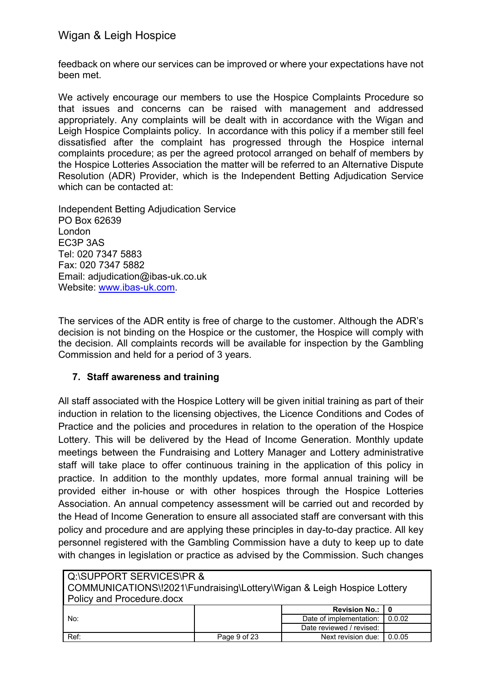feedback on where our services can be improved or where your expectations have not been met.

We actively encourage our members to use the Hospice Complaints Procedure so that issues and concerns can be raised with management and addressed appropriately. Any complaints will be dealt with in accordance with the Wigan and Leigh Hospice Complaints policy. In accordance with this policy if a member still feel dissatisfied after the complaint has progressed through the Hospice internal complaints procedure; as per the agreed protocol arranged on behalf of members by the Hospice Lotteries Association the matter will be referred to an Alternative Dispute Resolution (ADR) Provider, which is the Independent Betting Adjudication Service which can be contacted at:

Independent Betting Adjudication Service PO Box 62639 London EC3P 3AS Tel: 020 7347 5883 Fax: 020 7347 5882 Email: adjudication@ibas-uk.co.uk Website: [www.ibas-uk.com.](http://www.ibas-uk.com/)

The services of the ADR entity is free of charge to the customer. Although the ADR's decision is not binding on the Hospice or the customer, the Hospice will comply with the decision. All complaints records will be available for inspection by the Gambling Commission and held for a period of 3 years.

#### **7. Staff awareness and training**

All staff associated with the Hospice Lottery will be given initial training as part of their induction in relation to the licensing objectives, the Licence Conditions and Codes of Practice and the policies and procedures in relation to the operation of the Hospice Lottery. This will be delivered by the Head of Income Generation. Monthly update meetings between the Fundraising and Lottery Manager and Lottery administrative staff will take place to offer continuous training in the application of this policy in practice. In addition to the monthly updates, more formal annual training will be provided either in-house or with other hospices through the Hospice Lotteries Association. An annual competency assessment will be carried out and recorded by the Head of Income Generation to ensure all associated staff are conversant with this policy and procedure and are applying these principles in day-to-day practice. All key personnel registered with the Gambling Commission have a duty to keep up to date with changes in legislation or practice as advised by the Commission. Such changes

| Q:\SUPPORT SERVICES\PR &                                               |              |                          |        |  |
|------------------------------------------------------------------------|--------------|--------------------------|--------|--|
| COMMUNICATIONS\!2021\Fundraising\Lottery\Wigan & Leigh Hospice Lottery |              |                          |        |  |
| <b>Policy and Procedure docx</b>                                       |              |                          |        |  |
|                                                                        |              | Revision No.:   0        |        |  |
| No:                                                                    |              | Date of implementation:  | 0.0.02 |  |
|                                                                        |              | Date reviewed / revised: |        |  |
| Ref:                                                                   | Page 9 of 23 | Next revision due:       | 0.0.05 |  |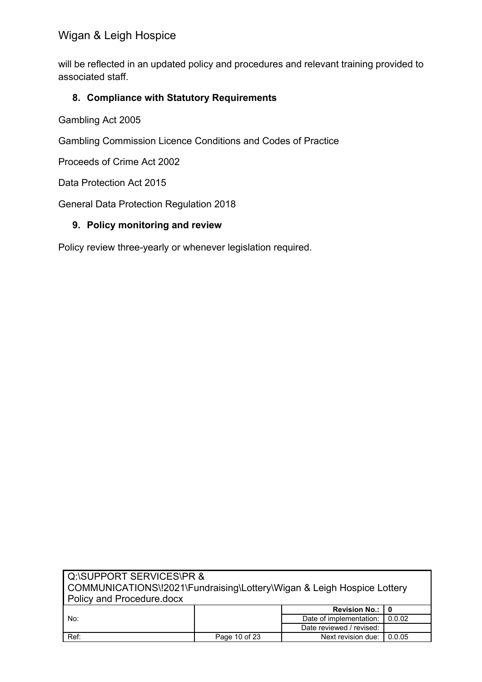will be reflected in an updated policy and procedures and relevant training provided to associated staff.

#### **8. Compliance with Statutory Requirements**

Gambling Act 2005

Gambling Commission Licence Conditions and Codes of Practice

Proceeds of Crime Act 2002

Data Protection Act 2015

General Data Protection Regulation 2018

#### **9. Policy monitoring and review**

Policy review three-yearly or whenever legislation required.

| <b>I</b> Q:\SUPPORT SERVICES\PR &                                      |               |                          |        |  |
|------------------------------------------------------------------------|---------------|--------------------------|--------|--|
| COMMUNICATIONS\!2021\Fundraising\Lottery\Wigan & Leigh Hospice Lottery |               |                          |        |  |
| Policy and Procedure.docx                                              |               |                          |        |  |
|                                                                        |               | Revision No.: 10         |        |  |
| No:                                                                    |               | Date of implementation:  | 0.0.02 |  |
|                                                                        |               | Date reviewed / revised: |        |  |
| Ref:                                                                   | Page 10 of 23 | Next revision due:       | 0.0.05 |  |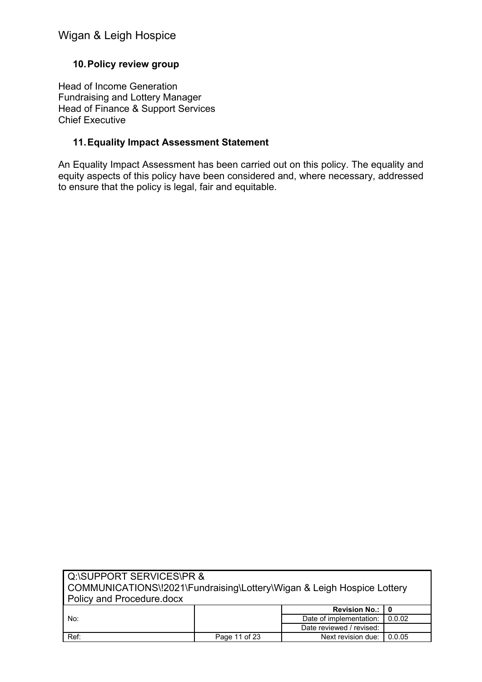#### **10.Policy review group**

Head of Income Generation Fundraising and Lottery Manager Head of Finance & Support Services Chief Executive

#### **11.Equality Impact Assessment Statement**

An Equality Impact Assessment has been carried out on this policy. The equality and equity aspects of this policy have been considered and, where necessary, addressed to ensure that the policy is legal, fair and equitable.

| Q:\SUPPORT SERVICES\PR &                                               |               |                          |        |  |
|------------------------------------------------------------------------|---------------|--------------------------|--------|--|
| COMMUNICATIONS\!2021\Fundraising\Lottery\Wigan & Leigh Hospice Lottery |               |                          |        |  |
| <b>Policy and Procedure docx</b>                                       |               |                          |        |  |
|                                                                        |               | Revision No.: 10         |        |  |
| No:                                                                    |               | Date of implementation:  | 0.0.02 |  |
|                                                                        |               | Date reviewed / revised: |        |  |
| Ref:                                                                   | Page 11 of 23 | Next revision due:       | 0.0.05 |  |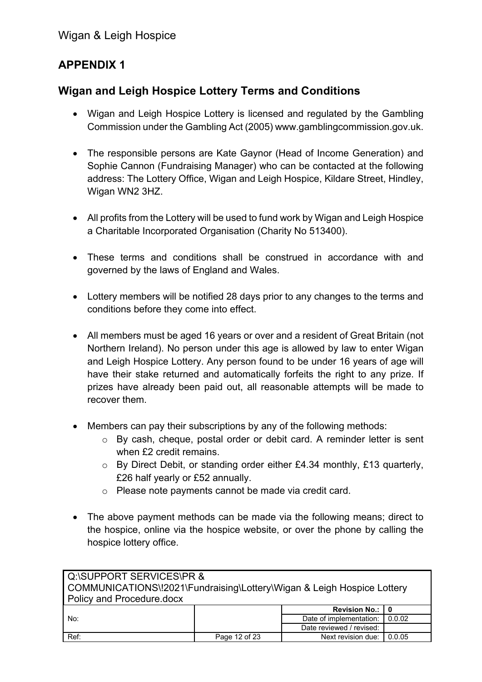## **APPENDIX 1**

## **Wigan and Leigh Hospice Lottery Terms and Conditions**

- Wigan and Leigh Hospice Lottery is licensed and regulated by the Gambling Commission under the Gambling Act (2005) [www.gamblingcommission.gov.uk.](http://www.gamblingcommission.gov.uk/)
- The responsible persons are Kate Gaynor (Head of Income Generation) and Sophie Cannon (Fundraising Manager) who can be contacted at the following address: The Lottery Office, Wigan and Leigh Hospice, Kildare Street, Hindley, Wigan WN2 3HZ.
- All profits from the Lottery will be used to fund work by Wigan and Leigh Hospice a Charitable Incorporated Organisation (Charity No 513400).
- These terms and conditions shall be construed in accordance with and governed by the laws of England and Wales.
- Lottery members will be notified 28 days prior to any changes to the terms and conditions before they come into effect.
- All members must be aged 16 years or over and a resident of Great Britain (not Northern Ireland). No person under this age is allowed by law to enter Wigan and Leigh Hospice Lottery. Any person found to be under 16 years of age will have their stake returned and automatically forfeits the right to any prize. If prizes have already been paid out, all reasonable attempts will be made to recover them.
- Members can pay their subscriptions by any of the following methods:
	- o By cash, cheque, postal order or debit card. A reminder letter is sent when £2 credit remains.
	- o By Direct Debit, or standing order either £4.34 monthly, £13 quarterly, £26 half yearly or £52 annually.
	- o Please note payments cannot be made via credit card.
- The above payment methods can be made via the following means; direct to the hospice, online via the hospice website, or over the phone by calling the hospice lottery office.

| Q:\SUPPORT SERVICES\PR &                                               |               |                    |        |  |  |  |
|------------------------------------------------------------------------|---------------|--------------------|--------|--|--|--|
| COMMUNICATIONS\!2021\Fundraising\Lottery\Wigan & Leigh Hospice Lottery |               |                    |        |  |  |  |
| Policy and Procedure.docx                                              |               |                    |        |  |  |  |
| Revision No.: 10                                                       |               |                    |        |  |  |  |
| Date of implementation: I<br>0.0.02<br>No:                             |               |                    |        |  |  |  |
| Date reviewed / revised:                                               |               |                    |        |  |  |  |
| Ref:                                                                   | Page 12 of 23 | Next revision due: | 0.0.05 |  |  |  |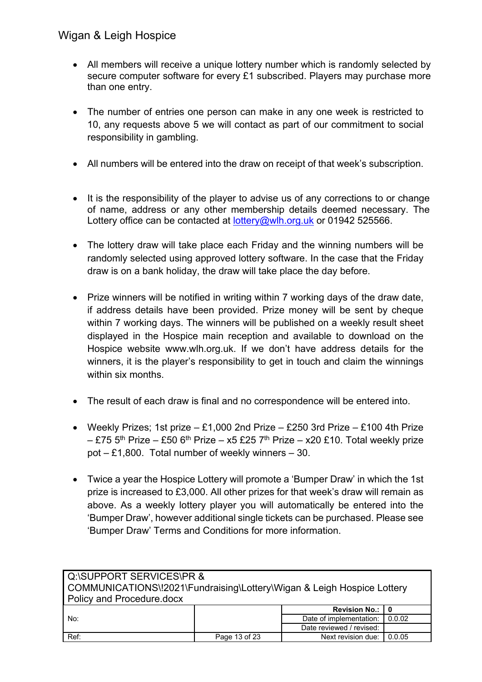- All members will receive a unique lottery number which is randomly selected by secure computer software for every £1 subscribed. Players may purchase more than one entry.
- The number of entries one person can make in any one week is restricted to 10, any requests above 5 we will contact as part of our commitment to social responsibility in gambling.
- All numbers will be entered into the draw on receipt of that week's subscription.
- It is the responsibility of the player to advise us of any corrections to or change of name, address or any other membership details deemed necessary. The Lottery office can be contacted at [lottery@wlh.org.uk](mailto:lottery@wlh.org.uk) or 01942 525566.
- The lottery draw will take place each Friday and the winning numbers will be randomly selected using approved lottery software. In the case that the Friday draw is on a bank holiday, the draw will take place the day before.
- Prize winners will be notified in writing within 7 working days of the draw date, if address details have been provided. Prize money will be sent by cheque within 7 working days. The winners will be published on a weekly result sheet displayed in the Hospice main reception and available to download on the Hospice website [www.wlh.org.uk.](http://www.wlh.org.uk/) If we don't have address details for the winners, it is the player's responsibility to get in touch and claim the winnings within six months.
- The result of each draw is final and no correspondence will be entered into.
- Weekly Prizes; 1st prize  $-$  £1,000 2nd Prize  $-$  £250 3rd Prize  $-$  £100 4th Prize  $-$  £75 5<sup>th</sup> Prize – £50 6<sup>th</sup> Prize – x5 £25 7<sup>th</sup> Prize – x20 £10. Total weekly prize pot – £1,800. Total number of weekly winners – 30.
- Twice a year the Hospice Lottery will promote a 'Bumper Draw' in which the 1st prize is increased to £3,000. All other prizes for that week's draw will remain as above. As a weekly lottery player you will automatically be entered into the 'Bumper Draw', however additional single tickets can be purchased. Please see 'Bumper Draw' Terms and Conditions for more information.

| Q:\SUPPORT SERVICES\PR &                |                                                                        |                          |        |  |  |  |
|-----------------------------------------|------------------------------------------------------------------------|--------------------------|--------|--|--|--|
|                                         | COMMUNICATIONS\!2021\Fundraising\Lottery\Wigan & Leigh Hospice Lottery |                          |        |  |  |  |
| <b>Policy and Procedure.docx</b>        |                                                                        |                          |        |  |  |  |
| Revision No.:   0                       |                                                                        |                          |        |  |  |  |
| Date of implementation: 1 0.0.02<br>No: |                                                                        |                          |        |  |  |  |
|                                         |                                                                        | Date reviewed / revised: |        |  |  |  |
| Ref:                                    | Page 13 of 23                                                          | Next revision due:       | 0.0.05 |  |  |  |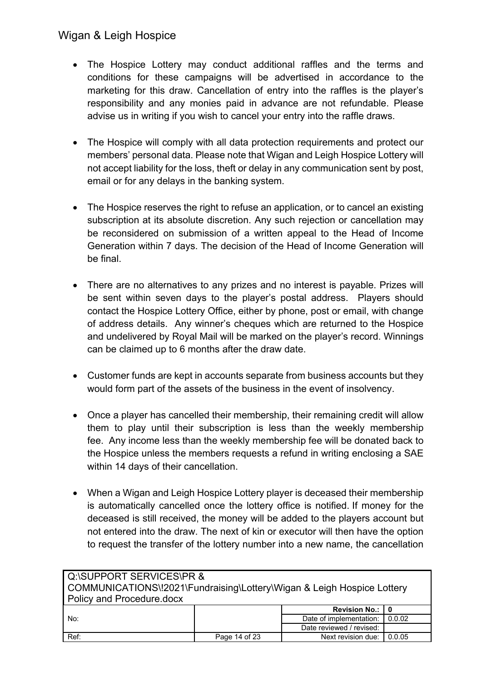- The Hospice Lottery may conduct additional raffles and the terms and conditions for these campaigns will be advertised in accordance to the marketing for this draw. Cancellation of entry into the raffles is the player's responsibility and any monies paid in advance are not refundable. Please advise us in writing if you wish to cancel your entry into the raffle draws.
- The Hospice will comply with all data protection requirements and protect our members' personal data. Please note that Wigan and Leigh Hospice Lottery will not accept liability for the loss, theft or delay in any communication sent by post, email or for any delays in the banking system.
- The Hospice reserves the right to refuse an application, or to cancel an existing subscription at its absolute discretion. Any such rejection or cancellation may be reconsidered on submission of a written appeal to the Head of Income Generation within 7 days. The decision of the Head of Income Generation will be final.
- There are no alternatives to any prizes and no interest is payable. Prizes will be sent within seven days to the player's postal address. Players should contact the Hospice Lottery Office, either by phone, post or email, with change of address details. Any winner's cheques which are returned to the Hospice and undelivered by Royal Mail will be marked on the player's record. Winnings can be claimed up to 6 months after the draw date.
- Customer funds are kept in accounts separate from business accounts but they would form part of the assets of the business in the event of insolvency.
- Once a player has cancelled their membership, their remaining credit will allow them to play until their subscription is less than the weekly membership fee. Any income less than the weekly membership fee will be donated back to the Hospice unless the members requests a refund in writing enclosing a SAE within 14 days of their cancellation.
- When a Wigan and Leigh Hospice Lottery player is deceased their membership is automatically cancelled once the lottery office is notified. If money for the deceased is still received, the money will be added to the players account but not entered into the draw. The next of kin or executor will then have the option to request the transfer of the lottery number into a new name, the cancellation

| Q:\SUPPORT SERVICES\PR &                                               |               |                          |        |  |  |
|------------------------------------------------------------------------|---------------|--------------------------|--------|--|--|
| COMMUNICATIONS\!2021\Fundraising\Lottery\Wigan & Leigh Hospice Lottery |               |                          |        |  |  |
| <b>Policy and Procedure.docx</b>                                       |               |                          |        |  |  |
| <b>Revision No.:  </b>                                                 |               |                          |        |  |  |
| No:                                                                    |               | Date of implementation:  | 0.0.02 |  |  |
|                                                                        |               | Date reviewed / revised: |        |  |  |
| Ref:                                                                   | Page 14 of 23 | Next revision due:       | 0.0.05 |  |  |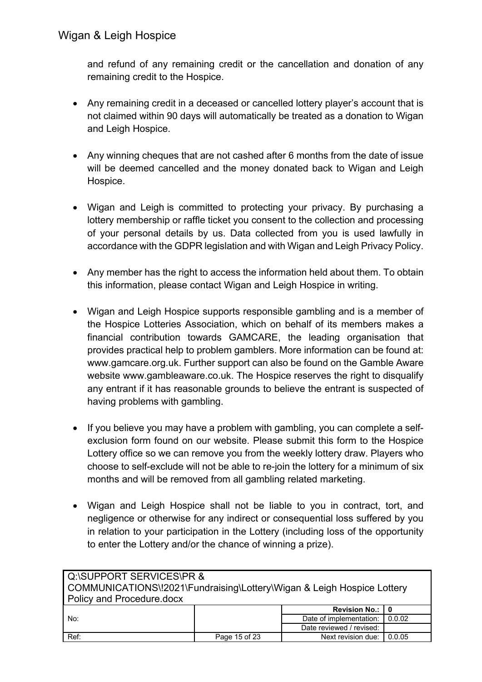and refund of any remaining credit or the cancellation and donation of any remaining credit to the Hospice.

- Any remaining credit in a deceased or cancelled lottery player's account that is not claimed within 90 days will automatically be treated as a donation to Wigan and Leigh Hospice.
- Any winning cheques that are not cashed after 6 months from the date of issue will be deemed cancelled and the money donated back to Wigan and Leigh Hospice.
- Wigan and Leigh is committed to protecting your privacy. By purchasing a lottery membership or raffle ticket you consent to the collection and processing of your personal details by us. Data collected from you is used lawfully in accordance with the GDPR legislation and with Wigan and Leigh Privacy Policy.
- Any member has the right to access the information held about them. To obtain this information, please contact Wigan and Leigh Hospice in writing.
- Wigan and Leigh Hospice supports responsible gambling and is a member of the Hospice Lotteries Association, which on behalf of its members makes a financial contribution towards GAMCARE, the leading organisation that provides practical help to problem gamblers. More information can be found at: [www.gamcare.org.uk.](http://www.gamcare.org.uk/) Further support can also be found on the Gamble Aware website [www.gambleaware.co.uk.](http://www.gambleaware.co.uk/) The Hospice reserves the right to disqualify any entrant if it has reasonable grounds to believe the entrant is suspected of having problems with gambling.
- If you believe you may have a problem with gambling, you can complete a selfexclusion form found on our website. Please submit this form to the Hospice Lottery office so we can remove you from the weekly lottery draw. Players who choose to self-exclude will not be able to re-join the lottery for a minimum of six months and will be removed from all gambling related marketing.
- Wigan and Leigh Hospice shall not be liable to you in contract, tort, and negligence or otherwise for any indirect or consequential loss suffered by you in relation to your participation in the Lottery (including loss of the opportunity to enter the Lottery and/or the chance of winning a prize).

| Q:\SUPPORT SERVICES\PR &                 |                                                                        |                          |        |  |  |  |
|------------------------------------------|------------------------------------------------------------------------|--------------------------|--------|--|--|--|
|                                          | COMMUNICATIONS\!2021\Fundraising\Lottery\Wigan & Leigh Hospice Lottery |                          |        |  |  |  |
| <b>Policy and Procedure.docx</b>         |                                                                        |                          |        |  |  |  |
| <b>Revision No.:  </b>                   |                                                                        |                          |        |  |  |  |
| Date of implementation:<br>0.0.02<br>No: |                                                                        |                          |        |  |  |  |
|                                          |                                                                        | Date reviewed / revised: |        |  |  |  |
| Ref:                                     | Page 15 of 23                                                          | Next revision due:       | 0.0.05 |  |  |  |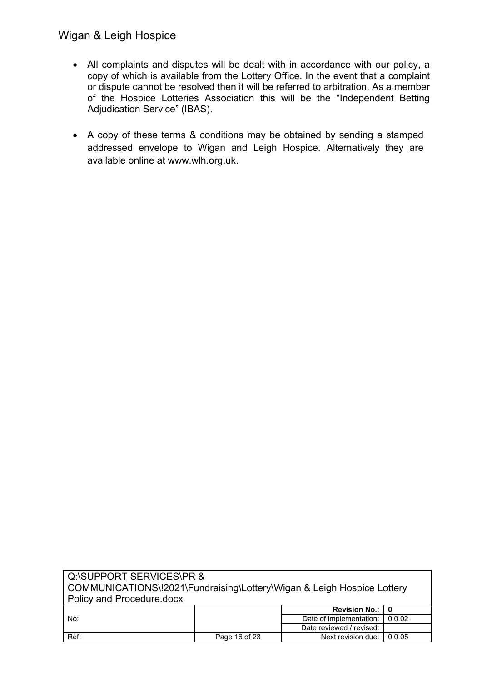- All complaints and disputes will be dealt with in accordance with our policy, a copy of which is available from the Lottery Office. In the event that a complaint or dispute cannot be resolved then it will be referred to arbitration. As a member of the Hospice Lotteries Association this will be the "Independent Betting Adjudication Service" (IBAS).
- A copy of these terms & conditions may be obtained by sending a stamped addressed envelope to Wigan and Leigh Hospice. Alternatively they are available online at [www.wlh.org.uk.](http://www.wlh.org.uk/)

| <b>I</b> Q:\SUPPORT SERVICES\PR &<br>COMMUNICATIONS\!2021\Fundraising\Lottery\Wigan & Leigh Hospice Lottery<br>Policy and Procedure docx |               |                          |        |  |  |
|------------------------------------------------------------------------------------------------------------------------------------------|---------------|--------------------------|--------|--|--|
| Revision No.:   0                                                                                                                        |               |                          |        |  |  |
| No:                                                                                                                                      |               | Date of implementation:  | 0.0.02 |  |  |
|                                                                                                                                          |               | Date reviewed / revised: |        |  |  |
| Ref:                                                                                                                                     | Page 16 of 23 | Next revision due:       | 0.0.05 |  |  |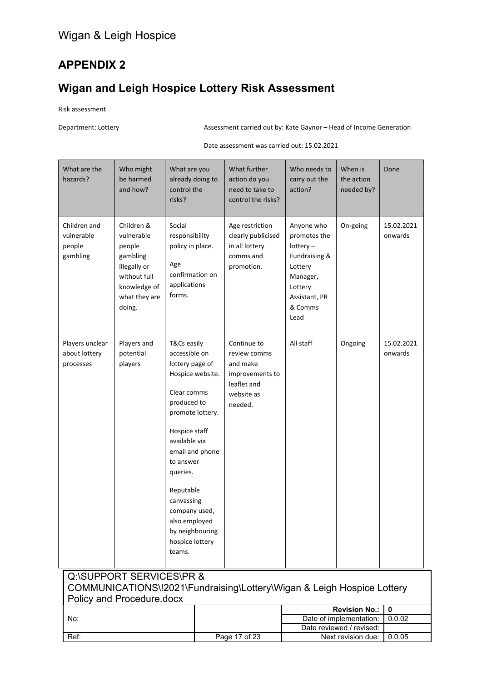## **APPENDIX 2**

# **Wigan and Leigh Hospice Lottery Risk Assessment**

Risk assessment

Department: Lottery **Assessment carried out by: Kate Gaynor** – Head of Income Generation

Date assessment was carried out: 15.02.2021

| What are the<br>hazards?                         | Who might<br>be harmed<br>and how?                                                                                        | What are you<br>control the<br>risks?                                                                                                                                                                                                                 | already doing to                                        | What further<br>action do you<br>need to take to<br>control the risks?                             | Who needs to<br>carry out the<br>action?                                                                                         | When is<br>the action<br>needed by?                 | Done                  |
|--------------------------------------------------|---------------------------------------------------------------------------------------------------------------------------|-------------------------------------------------------------------------------------------------------------------------------------------------------------------------------------------------------------------------------------------------------|---------------------------------------------------------|----------------------------------------------------------------------------------------------------|----------------------------------------------------------------------------------------------------------------------------------|-----------------------------------------------------|-----------------------|
| Children and<br>vulnerable<br>people<br>gambling | Children &<br>vulnerable<br>people<br>gambling<br>illegally or<br>without full<br>knowledge of<br>what they are<br>doing. | Social<br>responsibility<br>policy in place.<br>Age<br>confirmation on<br>applications<br>forms.                                                                                                                                                      |                                                         | Age restriction<br>clearly publicised<br>in all lottery<br>comms and<br>promotion.                 | Anyone who<br>promotes the<br>$lottery -$<br>Fundraising &<br>Lottery<br>Manager,<br>Lottery<br>Assistant, PR<br>& Comms<br>Lead | On-going                                            | 15.02.2021<br>onwards |
| Players unclear<br>about lottery<br>processes    | Players and<br>potential<br>players                                                                                       | T&Cs easily<br>accessible on<br>lottery page of<br>Clear comms<br>produced to<br>Hospice staff<br>available via<br>to answer<br>queries.<br>Reputable<br>canvassing<br>company used,<br>also employed<br>by neighbouring<br>hospice lottery<br>teams. | Hospice website.<br>promote lottery.<br>email and phone | Continue to<br>review comms<br>and make<br>improvements to<br>leaflet and<br>website as<br>needed. | All staff                                                                                                                        | Ongoing                                             | 15.02.2021<br>onwards |
|                                                  | Q:\SUPPORT SERVICES\PR &<br>Policy and Procedure.docx                                                                     |                                                                                                                                                                                                                                                       |                                                         | COMMUNICATIONS\!2021\Fundraising\Lottery\Wigan & Leigh Hospice Lottery                             |                                                                                                                                  |                                                     |                       |
|                                                  |                                                                                                                           |                                                                                                                                                                                                                                                       |                                                         |                                                                                                    |                                                                                                                                  | <b>Revision No.:</b>                                | $\mathbf{0}$          |
| No:                                              |                                                                                                                           |                                                                                                                                                                                                                                                       |                                                         |                                                                                                    |                                                                                                                                  | Date of implementation:<br>Date reviewed / revised: | 0.0.02                |
|                                                  |                                                                                                                           |                                                                                                                                                                                                                                                       |                                                         |                                                                                                    |                                                                                                                                  |                                                     |                       |
| Ref:                                             |                                                                                                                           |                                                                                                                                                                                                                                                       |                                                         | Page 17 of 23                                                                                      |                                                                                                                                  | Next revision due:                                  | 0.0.05                |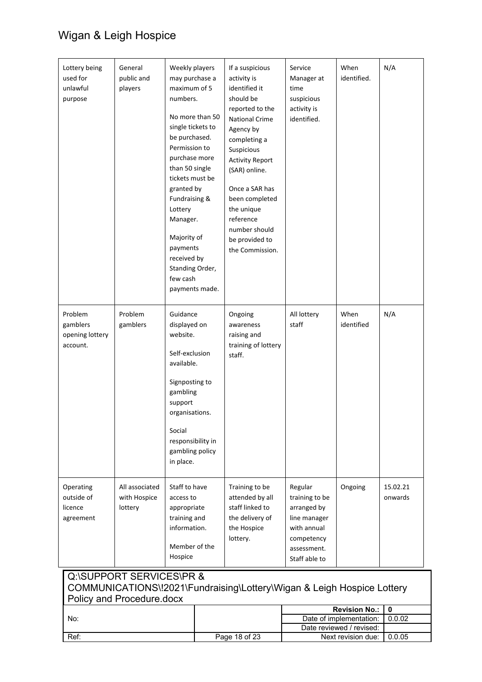| Lottery being<br>used for<br>unlawful<br>purpose   | General<br>public and<br>players                      | Weekly players<br>may purchase a<br>maximum of 5<br>numbers.<br>single tickets to<br>be purchased.<br>Permission to<br>purchase more<br>than 50 single<br>tickets must be<br>granted by<br>Fundraising &<br>Lottery<br>Manager.<br>Majority of<br>payments<br>received by<br>Standing Order,<br>few cash | No more than 50<br>payments made. | If a suspicious<br>activity is<br>identified it<br>should be<br>reported to the<br><b>National Crime</b><br>Agency by<br>completing a<br>Suspicious<br><b>Activity Report</b><br>(SAR) online.<br>Once a SAR has<br>been completed<br>the unique<br>reference<br>number should<br>be provided to<br>the Commission. | Service<br>Manager at<br>time<br>suspicious<br>activity is<br>identified.                                             | When<br>identified.                             | N/A                 |
|----------------------------------------------------|-------------------------------------------------------|----------------------------------------------------------------------------------------------------------------------------------------------------------------------------------------------------------------------------------------------------------------------------------------------------------|-----------------------------------|---------------------------------------------------------------------------------------------------------------------------------------------------------------------------------------------------------------------------------------------------------------------------------------------------------------------|-----------------------------------------------------------------------------------------------------------------------|-------------------------------------------------|---------------------|
| Problem<br>gamblers<br>opening lottery<br>account. | Problem<br>gamblers                                   | Guidance<br>displayed on<br>website.<br>Self-exclusion<br>available.<br>Signposting to<br>gambling<br>support<br>organisations.<br>Social<br>responsibility in<br>gambling policy<br>in place.                                                                                                           |                                   | Ongoing<br>awareness<br>raising and<br>training of lottery<br>staff.                                                                                                                                                                                                                                                | All lottery<br>staff                                                                                                  | When<br>identified                              | N/A                 |
| Operating<br>outside of<br>licence<br>agreement    | All associated<br>with Hospice<br>lottery             | Staff to have<br>access to<br>appropriate<br>training and<br>information.<br>Member of the<br>Hospice                                                                                                                                                                                                    |                                   | Training to be<br>attended by all<br>staff linked to<br>the delivery of<br>the Hospice<br>lottery.                                                                                                                                                                                                                  | Regular<br>training to be<br>arranged by<br>line manager<br>with annual<br>competency<br>assessment.<br>Staff able to | Ongoing                                         | 15.02.21<br>onwards |
|                                                    | Q:\SUPPORT SERVICES\PR &<br>Policy and Procedure.docx |                                                                                                                                                                                                                                                                                                          |                                   | COMMUNICATIONS\!2021\Fundraising\Lottery\Wigan & Leigh Hospice Lottery                                                                                                                                                                                                                                              |                                                                                                                       |                                                 | $\mathbf 0$         |
| No:                                                |                                                       |                                                                                                                                                                                                                                                                                                          |                                   |                                                                                                                                                                                                                                                                                                                     |                                                                                                                       | <b>Revision No.:</b><br>Date of implementation: | 0.0.02              |
|                                                    |                                                       |                                                                                                                                                                                                                                                                                                          |                                   |                                                                                                                                                                                                                                                                                                                     |                                                                                                                       | Date reviewed / revised:                        |                     |
| Ref:                                               |                                                       |                                                                                                                                                                                                                                                                                                          |                                   | Page 18 of 23                                                                                                                                                                                                                                                                                                       |                                                                                                                       | Next revision due:                              | 0.0.05              |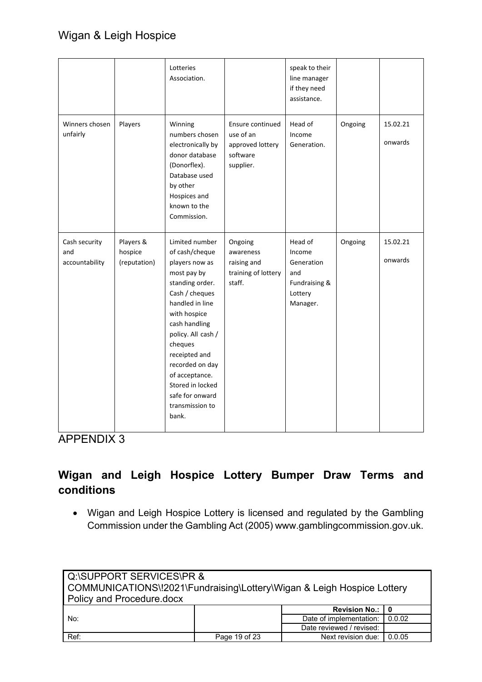|                                        |                                      | Lotteries<br>Association.                                                                                                                                                                                                                                                                                            |                                                                            | speak to their<br>line manager<br>if they need<br>assistance.                  |         |                     |
|----------------------------------------|--------------------------------------|----------------------------------------------------------------------------------------------------------------------------------------------------------------------------------------------------------------------------------------------------------------------------------------------------------------------|----------------------------------------------------------------------------|--------------------------------------------------------------------------------|---------|---------------------|
| Winners chosen<br>unfairly             | Players                              | Winning<br>numbers chosen<br>electronically by<br>donor database<br>(Donorflex).<br>Database used<br>by other<br>Hospices and<br>known to the<br>Commission.                                                                                                                                                         | Ensure continued<br>use of an<br>approved lottery<br>software<br>supplier. | Head of<br>Income<br>Generation.                                               | Ongoing | 15.02.21<br>onwards |
| Cash security<br>and<br>accountability | Players &<br>hospice<br>(reputation) | Limited number<br>of cash/cheque<br>players now as<br>most pay by<br>standing order.<br>Cash / cheques<br>handled in line<br>with hospice<br>cash handling<br>policy. All cash /<br>cheques<br>receipted and<br>recorded on day<br>of acceptance.<br>Stored in locked<br>safe for onward<br>transmission to<br>bank. | Ongoing<br>awareness<br>raising and<br>training of lottery<br>staff.       | Head of<br>Income<br>Generation<br>and<br>Fundraising &<br>Lottery<br>Manager. | Ongoing | 15.02.21<br>onwards |

APPENDIX 3

# **Wigan and Leigh Hospice Lottery Bumper Draw Terms and conditions**

• Wigan and Leigh Hospice Lottery is licensed and regulated by the Gambling Commission under the Gambling Act (2005) [www.gamblingcommission.gov.uk.](http://www.gamblingcommission.gov.uk/)

| Q:\SUPPORT SERVICES\PR &                                               |               |                    |        |  |                          |
|------------------------------------------------------------------------|---------------|--------------------|--------|--|--------------------------|
| COMMUNICATIONS\!2021\Fundraising\Lottery\Wigan & Leigh Hospice Lottery |               |                    |        |  |                          |
| Policy and Procedure.docx                                              |               |                    |        |  |                          |
| <b>Revision No.: I</b><br>Date of implementation:<br>0.0.02<br>No:     |               |                    |        |  |                          |
|                                                                        |               |                    |        |  | Date reviewed / revised: |
| Ref:                                                                   | Page 19 of 23 | Next revision due: | 0.0.05 |  |                          |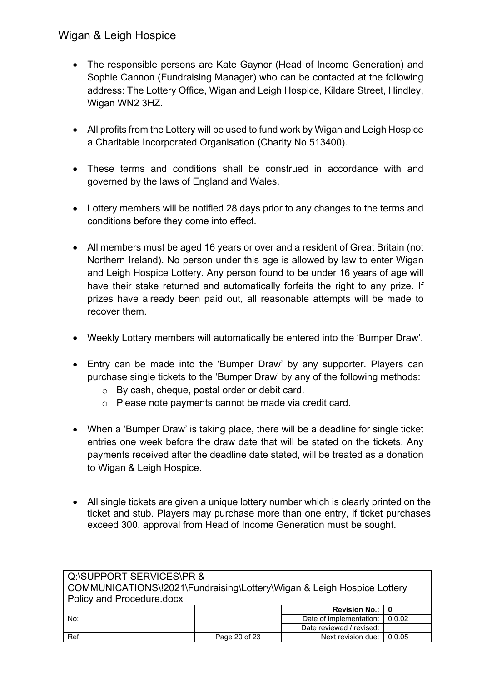- The responsible persons are Kate Gaynor (Head of Income Generation) and Sophie Cannon (Fundraising Manager) who can be contacted at the following address: The Lottery Office, Wigan and Leigh Hospice, Kildare Street, Hindley, Wigan WN2 3HZ.
- All profits from the Lottery will be used to fund work by Wigan and Leigh Hospice a Charitable Incorporated Organisation (Charity No 513400).
- These terms and conditions shall be construed in accordance with and governed by the laws of England and Wales.
- Lottery members will be notified 28 days prior to any changes to the terms and conditions before they come into effect.
- All members must be aged 16 years or over and a resident of Great Britain (not Northern Ireland). No person under this age is allowed by law to enter Wigan and Leigh Hospice Lottery. Any person found to be under 16 years of age will have their stake returned and automatically forfeits the right to any prize. If prizes have already been paid out, all reasonable attempts will be made to recover them.
- Weekly Lottery members will automatically be entered into the 'Bumper Draw'.
- Entry can be made into the 'Bumper Draw' by any supporter. Players can purchase single tickets to the 'Bumper Draw' by any of the following methods:
	- o By cash, cheque, postal order or debit card.
	- o Please note payments cannot be made via credit card.
- When a 'Bumper Draw' is taking place, there will be a deadline for single ticket entries one week before the draw date that will be stated on the tickets. Any payments received after the deadline date stated, will be treated as a donation to Wigan & Leigh Hospice.
- All single tickets are given a unique lottery number which is clearly printed on the ticket and stub. Players may purchase more than one entry, if ticket purchases exceed 300, approval from Head of Income Generation must be sought.

| Q:\SUPPORT SERVICES\PR &                |                                                                        |                          |        |  |  |  |
|-----------------------------------------|------------------------------------------------------------------------|--------------------------|--------|--|--|--|
|                                         | COMMUNICATIONS\!2021\Fundraising\Lottery\Wigan & Leigh Hospice Lottery |                          |        |  |  |  |
| <b>Policy and Procedure.docx</b>        |                                                                        |                          |        |  |  |  |
| Revision No.:   0                       |                                                                        |                          |        |  |  |  |
| Date of implementation: 1 0.0.02<br>No: |                                                                        |                          |        |  |  |  |
|                                         |                                                                        | Date reviewed / revised: |        |  |  |  |
| Ref:                                    | Page 20 of 23                                                          | Next revision due:       | 0.0.05 |  |  |  |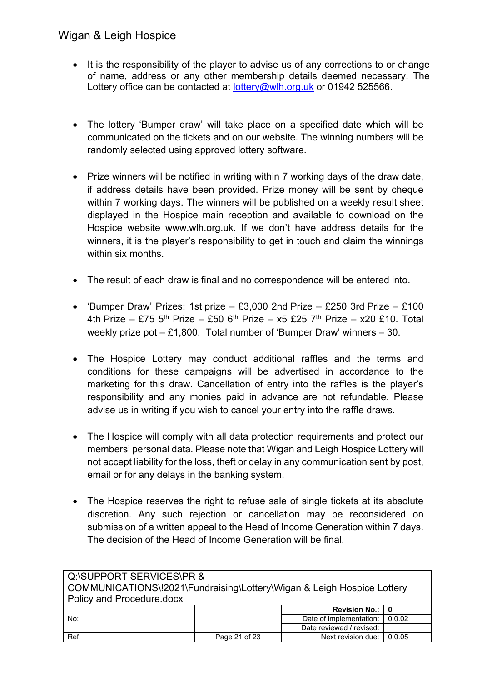- It is the responsibility of the player to advise us of any corrections to or change of name, address or any other membership details deemed necessary. The Lottery office can be contacted at [lottery@wlh.org.uk](mailto:lottery@wlh.org.uk) or 01942 525566.
- The lottery 'Bumper draw' will take place on a specified date which will be communicated on the tickets and on our website. The winning numbers will be randomly selected using approved lottery software.
- Prize winners will be notified in writing within 7 working days of the draw date, if address details have been provided. Prize money will be sent by cheque within 7 working days. The winners will be published on a weekly result sheet displayed in the Hospice main reception and available to download on the Hospice website [www.wlh.org.uk.](http://www.wlh.org.uk/) If we don't have address details for the winners, it is the player's responsibility to get in touch and claim the winnings within six months.
- The result of each draw is final and no correspondence will be entered into.
- 'Bumper Draw' Prizes; 1st prize £3,000 2nd Prize £250 3rd Prize £100 4th Prize – £75 5<sup>th</sup> Prize – £50 6<sup>th</sup> Prize – x5 £25 7<sup>th</sup> Prize – x20 £10. Total weekly prize pot – £1,800. Total number of 'Bumper Draw' winners – 30.
- The Hospice Lottery may conduct additional raffles and the terms and conditions for these campaigns will be advertised in accordance to the marketing for this draw. Cancellation of entry into the raffles is the player's responsibility and any monies paid in advance are not refundable. Please advise us in writing if you wish to cancel your entry into the raffle draws.
- The Hospice will comply with all data protection requirements and protect our members' personal data. Please note that Wigan and Leigh Hospice Lottery will not accept liability for the loss, theft or delay in any communication sent by post, email or for any delays in the banking system.
- The Hospice reserves the right to refuse sale of single tickets at its absolute discretion. Any such rejection or cancellation may be reconsidered on submission of a written appeal to the Head of Income Generation within 7 days. The decision of the Head of Income Generation will be final.

| Q:\SUPPORT SERVICES\PR &<br>COMMUNICATIONS\!2021\Fundraising\Lottery\Wigan & Leigh Hospice Lottery<br>Policy and Procedure.docx |               |                          |        |  |
|---------------------------------------------------------------------------------------------------------------------------------|---------------|--------------------------|--------|--|
| <b>Revision No.: I</b>                                                                                                          |               |                          |        |  |
| Date of implementation:<br>0.0.02<br>No:                                                                                        |               |                          |        |  |
|                                                                                                                                 |               | Date reviewed / revised: |        |  |
| Ref:                                                                                                                            | Page 21 of 23 | Next revision due:       | 0.0.05 |  |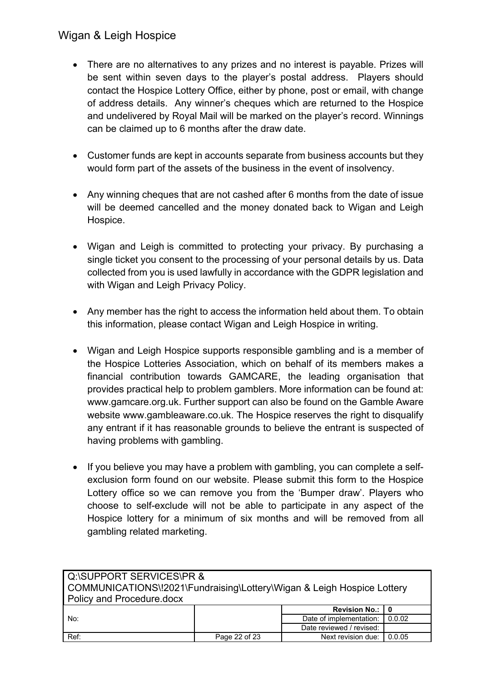- There are no alternatives to any prizes and no interest is payable. Prizes will be sent within seven days to the player's postal address. Players should contact the Hospice Lottery Office, either by phone, post or email, with change of address details. Any winner's cheques which are returned to the Hospice and undelivered by Royal Mail will be marked on the player's record. Winnings can be claimed up to 6 months after the draw date.
- Customer funds are kept in accounts separate from business accounts but they would form part of the assets of the business in the event of insolvency.
- Any winning cheques that are not cashed after 6 months from the date of issue will be deemed cancelled and the money donated back to Wigan and Leigh Hospice.
- Wigan and Leigh is committed to protecting your privacy. By purchasing a single ticket you consent to the processing of your personal details by us. Data collected from you is used lawfully in accordance with the GDPR legislation and with Wigan and Leigh Privacy Policy.
- Any member has the right to access the information held about them. To obtain this information, please contact Wigan and Leigh Hospice in writing.
- Wigan and Leigh Hospice supports responsible gambling and is a member of the Hospice Lotteries Association, which on behalf of its members makes a financial contribution towards GAMCARE, the leading organisation that provides practical help to problem gamblers. More information can be found at: [www.gamcare.org.uk.](http://www.gamcare.org.uk/) Further support can also be found on the Gamble Aware website [www.gambleaware.co.uk.](http://www.gambleaware.co.uk/) The Hospice reserves the right to disqualify any entrant if it has reasonable grounds to believe the entrant is suspected of having problems with gambling.
- If you believe you may have a problem with gambling, you can complete a selfexclusion form found on our website. Please submit this form to the Hospice Lottery office so we can remove you from the 'Bumper draw'. Players who choose to self-exclude will not be able to participate in any aspect of the Hospice lottery for a minimum of six months and will be removed from all gambling related marketing.

| Q:\SUPPORT SERVICES\PR &  |                                                                        |                          |        |  |  |
|---------------------------|------------------------------------------------------------------------|--------------------------|--------|--|--|
|                           | COMMUNICATIONS\!2021\Fundraising\Lottery\Wigan & Leigh Hospice Lottery |                          |        |  |  |
| Policy and Procedure.docx |                                                                        |                          |        |  |  |
| <b>Revision No.:  </b>    |                                                                        |                          |        |  |  |
| No:                       |                                                                        | Date of implementation:  | 0.0.02 |  |  |
|                           |                                                                        | Date reviewed / revised: |        |  |  |
| Ref:                      | Page 22 of 23                                                          | Next revision due:       | 0.0.05 |  |  |